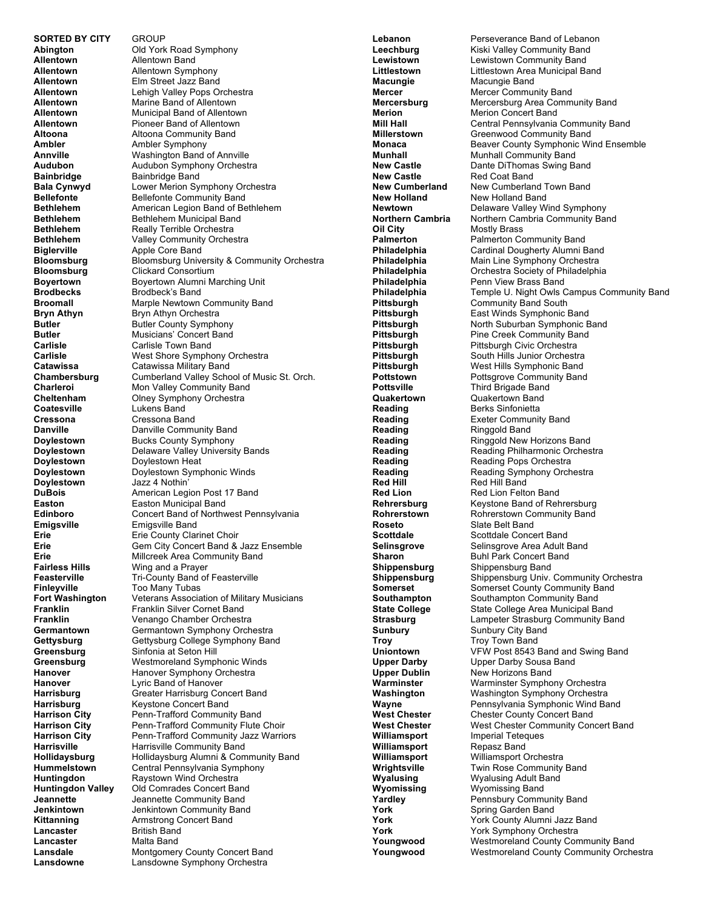**SORTED BY CITY** GROUP<br>**Abinaton** Old York **Allentown**<br> **Allentown**<br> **Allentown**<br> **Allentown**<br>
Symp Ambler **Ambler** Ambler Symphony **Biglerville Apple Core Band Bloomsburg** Clickard Consortium **Carlisle Carlisle Town Band<br>
<b>Carlisle Carlisle Carlisle CARLIST CARLIST CARLIST CARLIST CARLIST CARLIST CARLIST CARLIST Cressona** Cressona Band **Doylestown** Jazz 4 Nothin'<br> **DuBois** American Legi **Finleyville** Too Many Tubas<br> **Fort Washington** Veterans Associa **Greensburg Sinfonia at Seton Hill<br><b>Greensburg** Westmoreland Sympl **Lancaster** British Band **Lancaster** Malta Band<br> **Lansdale** Montgomer **Lansdowne** Lansdowne Symphony Orchestra

**Abid York Road Symphony Allentown** Allentown Symphony **Allentown** Elm Street Jazz Band **Allentown** Lehigh Valley Pops Orchestra **Allentown Marine Band of Allentown<br><b>Allentown** Municipal Band of Allentown **Allentown** Municipal Band of Allentown **Allentown** Pioneer Band of Allentown<br>**Altoona** Altoona Community Band **Altoona Community Band Annville** Washington Band of Annville<br> **Audubon** Audubon Symphony Orchestr **Audubon**<br> **Bainbridge**<br> **Bainbridge**<br> **Bainbridge**<br> **Bainbridge**<br> **Bainbridge**<br> **Bainbridge Bainbridge** Band **Bala Cynwyd** Lower Merion Symphony Orchestra<br> **Bellefonte** Bellefonte Community Band **Bellefonte** Bellefonte Community Band<br> **Bethlehem** American Legion Band of Be **Bethlehem** American Legion Band of Bethlehem **Bethlehem** Bethlehem Municipal Band **Bethlehem** Really Terrible Orchestra **Bethlehem** Valley Community Orchestra **Bloomsburg** Bloomsburg University & Community Orchestra **Boyertown**<br> **Brodbecks**Brodbeck's Band<br>
Brodbeck's Band **Brodbeck's Band Broomall** Marple Newtown Community Band **Bryn Athyn**<br> **Butler**<br>
Butler County Symphon **Butler** Butler County Symphony<br> **Butler** Musicians' Concert Band **Musicians' Concert Band Carlisle** West Shore Symphony Orchestra<br>
Catawissa Catawissa Military Band **Catawissa Catawissa Military Band<br>
<b>Chambersburg** Cumberland Valley Scho **Cumberland Valley School of Music St. Orch. Charleroi** Mon Valley Community Band<br> **Cheltenham** Clney Symphony Orchestra **Cheltenham** Olney Symphony Orchestra<br>
Coatesville Lukens Band Lukens Band **Danville Danville Community Band Doylestown Bucks County Symphony Doylestown Delaware Valley University Bands<br>
<b>Doylestown Doylestown Heat Doylestown Heat Doylestown** Doylestown Symphonic Winds<br> **Dovlestown** Jazz 4 Nothin' **DuBois American Legion Post 17 Band**<br> **Easton Easton Municipal Band Easton** Easton Municipal Band **Edinboro** Concert Band of Northwest Pennsylvania<br> **Emigsville** Emigsville Band **Emigsville** Emigsville Band **Erie Erie County Clarinet Choir Erie** Gem City Concert Band & Jazz Ensemble **Erie** Millcreek Area Community Band<br> **Fairless Hills** Wing and a Prayer **Wing and a Prayer Feasterville** Tri-County Band of Feasterville<br> **Finleyville** Too Many Tubas **Fort Washington** Veterans Association of Military Musicians<br>**Franklin** Franklin Silver Cornet Band **Franklin** Franklin Silver Cornet Band **Franklin** Venango Chamber Orchestra<br>**Germantown** Germantown Symphony Orchestra **Germantown** Germantown Symphony Orchestra **Gettysburg** Gettysburg College Symphony Band<br> **Greensburg** Sinfonia at Seton Hill Westmoreland Symphonic Winds **Hanover** Hanover Symphony Orchestra<br>
Hanover I vric Band of Hanover **Hanover** Lyric Band of Hanover<br> **Harrisburg** Greater Harrisburg Co **Harrisburg Greater Harrisburg Concert Band<br>
<b>Harrisburg Keystone Concert Band Harrisburg** Keystone Concert Band<br> **Harrison City** Penn-Trafford Communi **Harrison City** Penn-Trafford Community Band<br> **Harrison City** Penn-Trafford Community Flute Penn-Trafford Community Flute Choir Harrison City **Penn-Trafford Community Jazz Warriors Harrisville** Harrisville Community Band **Hollidaysburg** Hollidaysburg Alumni & Community Band<br> **Hummelstown** Central Pennsylvania Symphony **Central Pennsylvania Symphony Huntingdon** Raystown Wind Orchestra<br> **Huntingdon Valley** Old Comrades Concert Ba **Old Comrades Concert Band Jeannette Jeannette Community Band**<br> **Jenkintown Jenkintown Community Band Jenkintown** Jenkintown Community Band **Kittanning** Armstrong Concert Band **Montgomery County Concert Band** 

**Macungie** Macungie Band **New Castle** Red Coat Band<br> **New Cumberland** New Cumberlan **Oil City** Mostly Brass<br> **Palmerton** Palmerton Co **Reading** Berks Sinfonietta<br> **Reading** Exeter Community **Reading** Ringgold Band **Red Hill** Red Hill Band<br> **Red Lion** Red Lion Felto **Roseto** Slate Belt Band<br> **Scottdale** Scottdale Conce **Troy**<br>
Uniontown

UFW Post 8543 E **Williamsport** 

**Lebanon** Perseverance Band of Lebanon<br> **Leechburg** Kiski Valley Community Band **Kiski Valley Community Band Lewistown Lewistown Community Band<br>
Littlestown Littlestown Area Municipal Band Littlestown Area Municipal Band Mercer** Mercer Community Band **Mercersburg Mercersburg Area Community Band<br><b>Merion** Merion Concert Band **Merion** Merion Concert Band **Mill Hall** Central Pennsylvania Community Band<br> **Millerstown** Greenwood Community Band **Greenwood Community Band Monaca** Beaver County Symphonic Wind Ensemble **Munhall** Munhall Community Band **New Castle Cancer Dante DiThomas Swing Band<br>
<b>New Castle** Red Coat Band **New Cumberland Town Band New Holland** New Holland Band<br> **Newtown** Delaware Valley W **Delaware Valley Wind Symphony Northern Cambria** Northern Cambria Community Band **Palmerton**<br> **Palmerton Cardinal Dougherty Alumni E**<br>
Cardinal Dougherty Alumni E **Philadelphia** Cardinal Dougherty Alumni Band<br> **Philadelphia** Main Line Symphony Orchestra **Philadelphia** Main Line Symphony Orchestra<br> **Philadelphia** Orchestra Society of Philadelphi **Philadelphia** Orchestra Society of Philadelphia **Philadelphia** Penn View Brass Band<br> **Philadelphia** Temple U. Night Owls C **Philadelphia** Temple U. Night Owls Campus Community Band<br> **Pittsburgh** Community Band South **Community Band South Pittsburgh East Winds Symphonic Band<br><b>Pittsburgh Contract Bub**urban Symphonic B **Pittsburgh Morth Suburban Symphonic Band<br>
<b>Pine Creek Community Band Pine Creek Community Band Pittsburgh Pittsburgh Civic Orchestra Pittsburgh South Hills Junior Orchestra<br>
<b>Pittsburgh West Hills Symphonic Band Pittsburgh** West Hills Symphonic Band<br> **Pottstown** Pottsgrove Community Band Pottsgrove Community Band **Pottsville Third Brigade Band<br>
<b>Quakertown** Quakertown Band **Quakertown**<br> **Reading**<br> **Reading**<br> **Berks Sinfonietta Exeter Community Band Reading Find Ringgold New Horizons Band<br>
<b>Reading** Reading Philharmonic Orches **Reading The Reading Philharmonic Orchestra<br>
<b>Reading Pops Orchestra**<br>
Reading Pops Orchestra **Reading The Reading Pops Orchestra<br>
<b>Reading The Reading Symphony Orch Reading Feading Symphony Orchestra**<br> **Red Hill Fead Hill Band Red Lion Red Lion Felton Band<br>
<b>Rehrersburg Revstone Band of Rehrers Keystone Band of Rehrersburg Rohrerstown Rohrerstown Community Band<br>
<b>Roseto** Slate Belt Band **Scottdale** Scottdale Concert Band **Selinsgrove** Selinsgrove Area Adult Band **Sharon** Buhl Park Concert Band<br> **Shippensburg** Shippensburg Band **Shippensburg** Shippensburg Band **Shippensburg** Shippensburg Univ. Community Orchestra **Somerset Somerset County Community Band<br>
<b>Southampton** Southampton Community Band **Southampton**<br> **State College** State College Area Municipal Band **State College Area Municipal Band Strasburg** Lampeter Strasburg Community Band<br>
Sunbury City Band<br>
Sunbury City Band **Sunbury** Sunbury City Band **Uniontown** VFW Post 8543 Band and Swing Band<br>
Upper Darby Upper Darby Sousa Band **Upper Darby Sousa Band Upper Dublin** New Horizons Band<br> **Warminster** Warminster Sympho **Warminster** Warminster Symphony Orchestra<br>
Washington Washington Symphony Orchestra **Washington Washington Symphony Orchestra**<br>**Wavne** Pennsylvania Symphonic Wind Ba **Wayne Pennsylvania Symphonic Wind Band**<br> **West Chester** Chester County Concert Band **West Chester** Chester County Concert Band<br> **West Chester** West Chester Community Con **West Chester Community Concert Band Williamsport** Imperial Teteques<br> **Williamsport** Repasz Band **Williamsport** Williamsport Orchestra<br> **Wrightsville** Twin Rose Community **Twin Rose Community Band Wyalusing Myalusing Adult Band<br>
<b>Wyomissing** Wyomissing Band **Wyomissing** Wyomissing Band **Yardley** Pennsbury Community Band<br>**York** Spring Garden Band Spring Garden Band York County Alumni Jazz Band **York** York Symphony Orchestra<br>**Youngwood** Westmoreland County Con **Youngwood** Westmoreland County Community Band<br>**Youngwood** Westmoreland County Community Orche Westmoreland County Community Orchestra